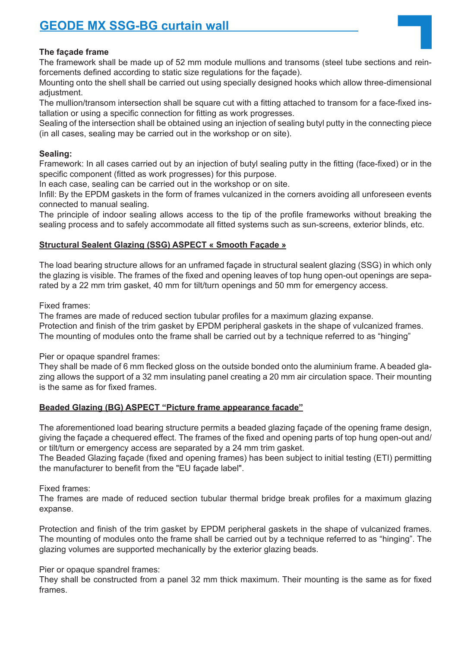# **GEODE MX SSG-BG curtain wall**

### **The façade frame**

The framework shall be made up of 52 mm module mullions and transoms (steel tube sections and reinforcements defined according to static size regulations for the façade).

Mounting onto the shell shall be carried out using specially designed hooks which allow three-dimensional adjustment.

The mullion/transom intersection shall be square cut with a fitting attached to transom for a face-fixed installation or using a specific connection for fitting as work progresses.

Sealing of the intersection shall be obtained using an injection of sealing butyl putty in the connecting piece (in all cases, sealing may be carried out in the workshop or on site).

#### **Sealing:**

Framework: In all cases carried out by an injection of butyl sealing putty in the fitting (face-fixed) or in the specific component (fitted as work progresses) for this purpose.

In each case, sealing can be carried out in the workshop or on site.

Infill: By the EPDM gaskets in the form of frames vulcanized in the corners avoiding all unforeseen events connected to manual sealing.

The principle of indoor sealing allows access to the tip of the profile frameworks without breaking the sealing process and to safely accommodate all fitted systems such as sun-screens, exterior blinds, etc.

## **Structural Sealent Glazing (SSG) ASPECT « Smooth Façade »**

The load bearing structure allows for an unframed façade in structural sealent glazing (SSG) in which only the glazing is visible. The frames of the fixed and opening leaves of top hung open-out openings are separated by a 22 mm trim gasket, 40 mm for tilt/turn openings and 50 mm for emergency access.

Fixed frames:

The frames are made of reduced section tubular profiles for a maximum glazing expanse. Protection and finish of the trim gasket by EPDM peripheral gaskets in the shape of vulcanized frames. The mounting of modules onto the frame shall be carried out by a technique referred to as "hinging"

Pier or opaque spandrel frames:

They shall be made of 6 mm flecked gloss on the outside bonded onto the aluminium frame. A beaded glazing allows the support of a 32 mm insulating panel creating a 20 mm air circulation space. Their mounting is the same as for fixed frames.

## **Beaded Glazing (BG) ASPECT "Picture frame appearance facade"**

The aforementioned load bearing structure permits a beaded glazing façade of the opening frame design, giving the façade a chequered effect. The frames of the fixed and opening parts of top hung open-out and/ or tilt/turn or emergency access are separated by a 24 mm trim gasket.

The Beaded Glazing façade (fixed and opening frames) has been subject to initial testing (ETI) permitting the manufacturer to benefit from the "EU façade label".

Fixed frames:

The frames are made of reduced section tubular thermal bridge break profiles for a maximum glazing expanse.

Protection and finish of the trim gasket by EPDM peripheral gaskets in the shape of vulcanized frames. The mounting of modules onto the frame shall be carried out by a technique referred to as "hinging". The glazing volumes are supported mechanically by the exterior glazing beads.

Pier or opaque spandrel frames:

They shall be constructed from a panel 32 mm thick maximum. Their mounting is the same as for fixed frames.